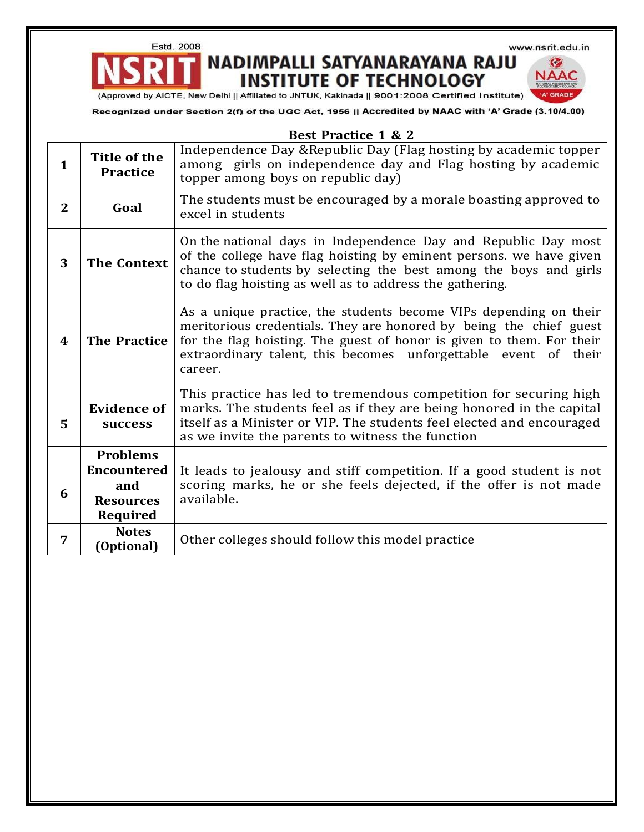Estd. 2008

×

www.nsrit.edu.in

€ **NAAC** 

## NADIMPALLI SATYANARAYANA RAJU **INSTITUTE OF TECHNOLOGY**

(Approved by AICTE, New Delhi || Affiliated to JNTUK, Kakinada || 9001:2008 Certified Institute)

Recognized under Section 2(f) of the UGC Act, 1956 || Accredited by NAAC with 'A' Grade (3.10/4.00)

| <b>Best Practice 1 &amp; 2</b> |                                                                              |                                                                                                                                                                                                                                                                                                   |
|--------------------------------|------------------------------------------------------------------------------|---------------------------------------------------------------------------------------------------------------------------------------------------------------------------------------------------------------------------------------------------------------------------------------------------|
| $\mathbf{1}$                   | <b>Title of the</b><br><b>Practice</b>                                       | Independence Day & Republic Day (Flag hosting by academic topper<br>among girls on independence day and Flag hosting by academic<br>topper among boys on republic day)                                                                                                                            |
| $\mathbf{2}$                   | Goal                                                                         | The students must be encouraged by a morale boasting approved to<br>excel in students                                                                                                                                                                                                             |
| 3                              | <b>The Context</b>                                                           | On the national days in Independence Day and Republic Day most<br>of the college have flag hoisting by eminent persons. we have given<br>chance to students by selecting the best among the boys and girls<br>to do flag hoisting as well as to address the gathering.                            |
| 4                              | <b>The Practice</b>                                                          | As a unique practice, the students become VIPs depending on their<br>meritorious credentials. They are honored by being the chief guest<br>for the flag hoisting. The guest of honor is given to them. For their<br>extraordinary talent, this becomes unforgettable event<br>of their<br>career. |
| 5                              | <b>Evidence of</b><br>success                                                | This practice has led to tremendous competition for securing high<br>marks. The students feel as if they are being honored in the capital<br>itself as a Minister or VIP. The students feel elected and encouraged<br>as we invite the parents to witness the function                            |
| 6                              | <b>Problems</b><br><b>Encountered</b><br>and<br><b>Resources</b><br>Required | It leads to jealousy and stiff competition. If a good student is not<br>scoring marks, he or she feels dejected, if the offer is not made<br>available.                                                                                                                                           |
| 7                              | <b>Notes</b><br>(Optional)                                                   | Other colleges should follow this model practice                                                                                                                                                                                                                                                  |